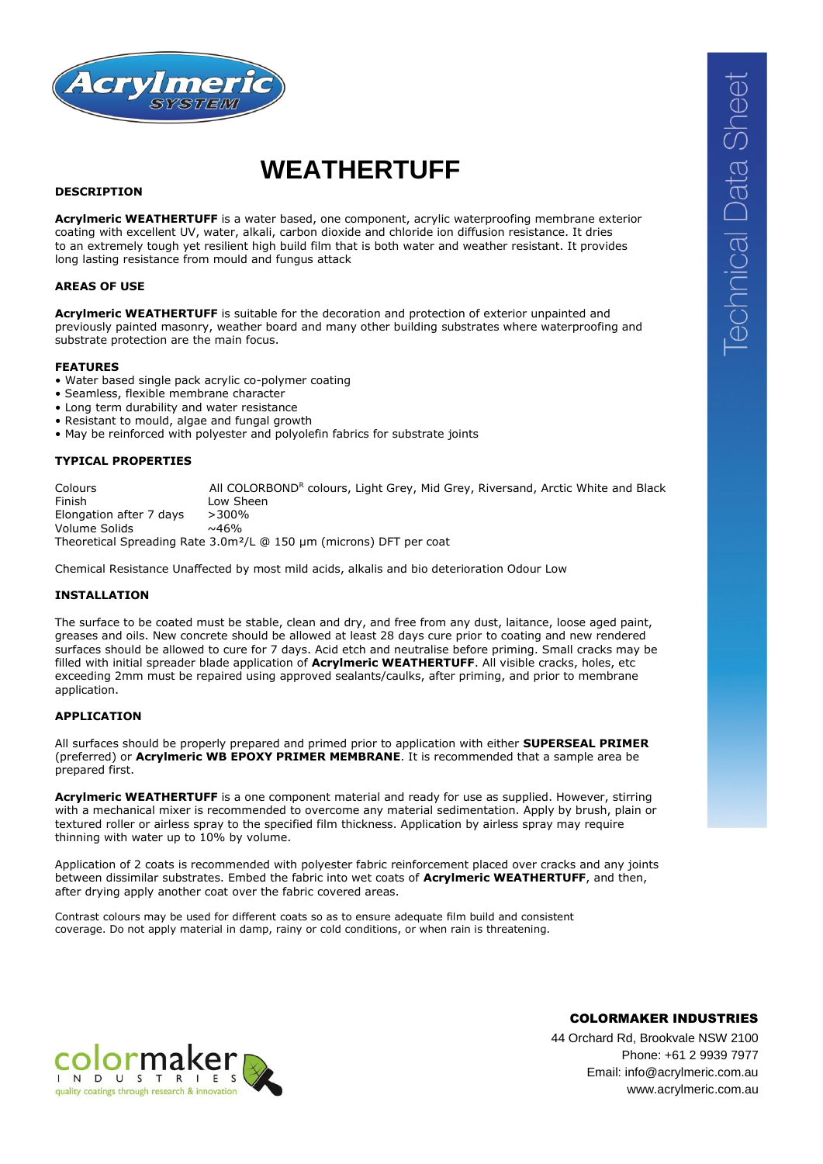

# **WEATHERTUFF**

#### **DESCRIPTION**

**Acrylmeric WEATHERTUFF** is a water based, one component, acrylic waterproofing membrane exterior coating with excellent UV, water, alkali, carbon dioxide and chloride ion diffusion resistance. It dries to an extremely tough yet resilient high build film that is both water and weather resistant. It provides long lasting resistance from mould and fungus attack

#### **AREAS OF USE**

**Acrylmeric WEATHERTUFF** is suitable for the decoration and protection of exterior unpainted and previously painted masonry, weather board and many other building substrates where waterproofing and substrate protection are the main focus.

#### **FEATURES**

- Water based single pack acrylic co-polymer coating
- Seamless, flexible membrane character
- Long term durability and water resistance
- Resistant to mould, algae and fungal growth
- May be reinforced with polyester and polyolefin fabrics for substrate joints

#### **TYPICAL PROPERTIES**

Colours **All COLORBONDR** colours, Light Grey, Mid Grey, Riversand, Arctic White and Black Finish Low Sheen Elongation after 7 days >300% Volume Solids  $\sim$ 46% Theoretical Spreading Rate 3.0m²/L @ 150 µm (microns) DFT per coat

Chemical Resistance Unaffected by most mild acids, alkalis and bio deterioration Odour Low

#### **INSTALLATION**

The surface to be coated must be stable, clean and dry, and free from any dust, laitance, loose aged paint, greases and oils. New concrete should be allowed at least 28 days cure prior to coating and new rendered surfaces should be allowed to cure for 7 days. Acid etch and neutralise before priming. Small cracks may be filled with initial spreader blade application of **Acrylmeric WEATHERTUFF**. All visible cracks, holes, etc exceeding 2mm must be repaired using approved sealants/caulks, after priming, and prior to membrane application.

#### **APPLICATION**

All surfaces should be properly prepared and primed prior to application with either **SUPERSEAL PRIMER** (preferred) or **Acrylmeric WB EPOXY PRIMER MEMBRANE**. It is recommended that a sample area be prepared first.

**Acrylmeric WEATHERTUFF** is a one component material and ready for use as supplied. However, stirring with a mechanical mixer is recommended to overcome any material sedimentation. Apply by brush, plain or textured roller or airless spray to the specified film thickness. Application by airless spray may require thinning with water up to 10% by volume.

Application of 2 coats is recommended with polyester fabric reinforcement placed over cracks and any joints between dissimilar substrates. Embed the fabric into wet coats of **Acrylmeric WEATHERTUFF**, and then, after drying apply another coat over the fabric covered areas.

Contrast colours may be used for different coats so as to ensure adequate film build and consistent coverage. Do not apply material in damp, rainy or cold conditions, or when rain is threatening.

44 Orchard Rd, Brookvale NSW 2100 Phone: +61 2 9939 7977 Email: info@acrylmeric.com.au www.acrylmeric.com.au